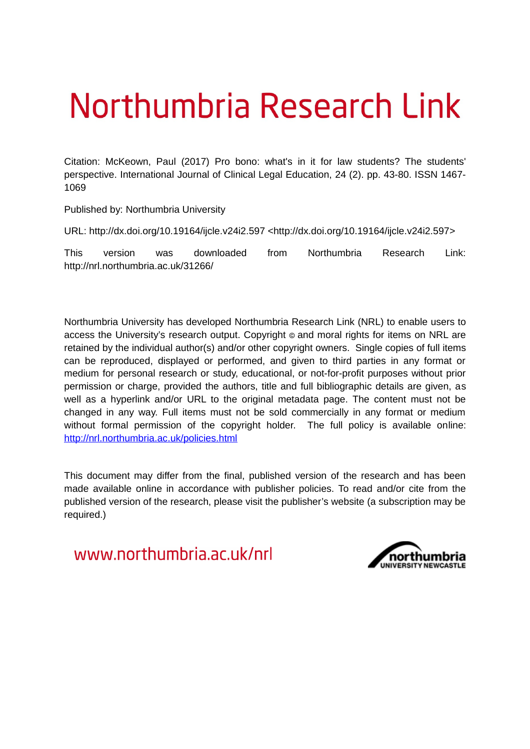# Northumbria Research Link

Citation: McKeown, Paul (2017) Pro bono: what's in it for law students? The students' perspective. International Journal of Clinical Legal Education, 24 (2). pp. 43-80. ISSN 1467- 1069

Published by: Northumbria University

URL: http://dx.doi.org/10.19164/ijcle.v24i2.597 <http://dx.doi.org/10.19164/ijcle.v24i2.597>

This version was downloaded from Northumbria Research Link: http://nrl.northumbria.ac.uk/31266/

Northumbria University has developed Northumbria Research Link (NRL) to enable users to access the University's research output. Copyright  $\circ$  and moral rights for items on NRL are retained by the individual author(s) and/or other copyright owners. Single copies of full items can be reproduced, displayed or performed, and given to third parties in any format or medium for personal research or study, educational, or not-for-profit purposes without prior permission or charge, provided the authors, title and full bibliographic details are given, as well as a hyperlink and/or URL to the original metadata page. The content must not be changed in any way. Full items must not be sold commercially in any format or medium without formal permission of the copyright holder. The full policy is available online: <http://nrl.northumbria.ac.uk/policies.html>

This document may differ from the final, published version of the research and has been made available online in accordance with publisher policies. To read and/or cite from the published version of the research, please visit the publisher's website (a subscription may be required.)

www.northumbria.ac.uk/nrl

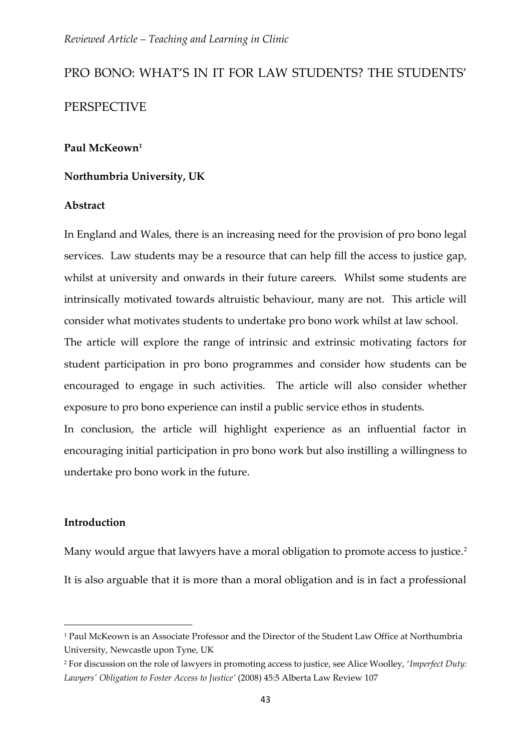# PRO BONO: WHAT'S IN IT FOR LAW STUDENTS? THE STUDENTS' PERSPECTIVE

# **Paul McKeown<sup>1</sup>**

# **Northumbria University, UK**

#### **Abstract**

In England and Wales, there is an increasing need for the provision of pro bono legal services. Law students may be a resource that can help fill the access to justice gap, whilst at university and onwards in their future careers. Whilst some students are intrinsically motivated towards altruistic behaviour, many are not. This article will consider what motivates students to undertake pro bono work whilst at law school.

The article will explore the range of intrinsic and extrinsic motivating factors for student participation in pro bono programmes and consider how students can be encouraged to engage in such activities. The article will also consider whether exposure to pro bono experience can instil a public service ethos in students.

In conclusion, the article will highlight experience as an influential factor in encouraging initial participation in pro bono work but also instilling a willingness to undertake pro bono work in the future.

# **Introduction**

1

Many would argue that lawyers have a moral obligation to promote access to justice. 2 It is also arguable that it is more than a moral obligation and is in fact a professional

<sup>1</sup> Paul McKeown is an Associate Professor and the Director of the Student Law Office at Northumbria University, Newcastle upon Tyne, UK

<sup>2</sup> For discussion on the role of lawyers in promoting access to justice, see Alice Woolley, '*Imperfect Duty: Lawyers' Obligation to Foster Access to Justice'* (2008) 45:5 Alberta Law Review 107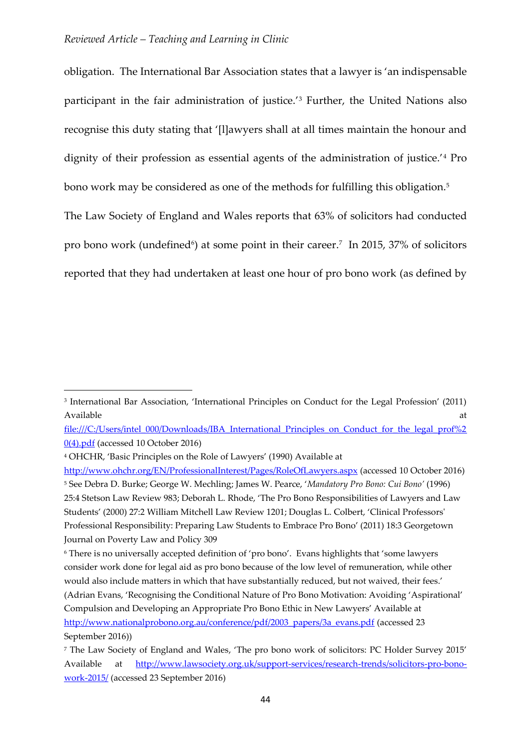obligation. The International Bar Association states that a lawyer is 'an indispensable participant in the fair administration of justice.'<sup>3</sup> Further, the United Nations also recognise this duty stating that '[l]awyers shall at all times maintain the honour and dignity of their profession as essential agents of the administration of justice.'<sup>4</sup> Pro bono work may be considered as one of the methods for fulfilling this obligation.<sup>5</sup>

The Law Society of England and Wales reports that 63% of solicitors had conducted pro bono work (undefined<sup>6</sup>) at some point in their career.<sup>7</sup> In 2015, 37% of solicitors reported that they had undertaken at least one hour of pro bono work (as defined by

[file:///C:/Users/intel\\_000/Downloads/IBA\\_International\\_Principles\\_on\\_Conduct\\_for\\_the\\_legal\\_prof%2](file:///C:/Users/intel_000/Downloads/IBA_International_Principles_on_Conduct_for_the_legal_prof%20(4).pdf) [0\(4\).pdf](file:///C:/Users/intel_000/Downloads/IBA_International_Principles_on_Conduct_for_the_legal_prof%20(4).pdf) (accessed 10 October 2016)

<sup>4</sup> OHCHR, 'Basic Principles on the Role of Lawyers' (1990) Available at

<sup>3</sup> International Bar Association, 'International Principles on Conduct for the Legal Profession' (2011) Available at the contract of the contract of the contract of the contract of the contract of the contract of the contract of the contract of the contract of the contract of the contract of the contract of the contract of t

<http://www.ohchr.org/EN/ProfessionalInterest/Pages/RoleOfLawyers.aspx> (accessed 10 October 2016) <sup>5</sup> See Debra D. Burke; George W. Mechling; James W. Pearce, '*Mandatory Pro Bono: Cui Bono'* (1996) 25:4 Stetson Law Review 983; Deborah L. Rhode, 'The Pro Bono Responsibilities of Lawyers and Law Students' (2000) 27:2 William Mitchell Law Review 1201; Douglas L. Colbert, 'Clinical Professors' Professional Responsibility: Preparing Law Students to Embrace Pro Bono' (2011) 18:3 Georgetown Journal on Poverty Law and Policy 309

<sup>6</sup> There is no universally accepted definition of 'pro bono'. Evans highlights that 'some lawyers consider work done for legal aid as pro bono because of the low level of remuneration, while other would also include matters in which that have substantially reduced, but not waived, their fees.' (Adrian Evans, 'Recognising the Conditional Nature of Pro Bono Motivation: Avoiding 'Aspirational' Compulsion and Developing an Appropriate Pro Bono Ethic in New Lawyers' Available at [http://www.nationalprobono.org.au/conference/pdf/2003\\_papers/3a\\_evans.pdf](http://www.nationalprobono.org.au/conference/pdf/2003_papers/3a_evans.pdf) (accessed 23 September 2016))

<sup>7</sup> The Law Society of England and Wales, 'The pro bono work of solicitors: PC Holder Survey 2015' Available at [http://www.lawsociety.org.uk/support-services/research-trends/solicitors-pro-bono](http://www.lawsociety.org.uk/support-services/research-trends/solicitors-pro-bono-work-2015/)[work-2015/](http://www.lawsociety.org.uk/support-services/research-trends/solicitors-pro-bono-work-2015/) (accessed 23 September 2016)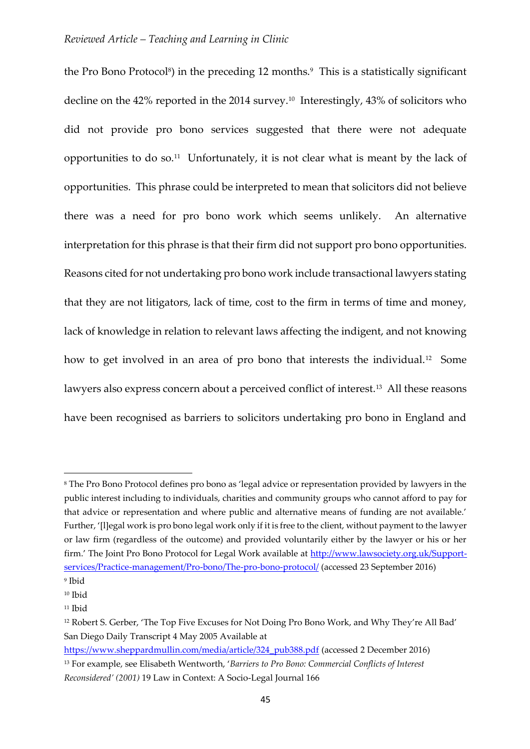the Pro Bono Protocol<sup>8</sup>) in the preceding 12 months.<sup>9</sup> This is a statistically significant decline on the 42% reported in the 2014 survey.<sup>10</sup> Interestingly, 43% of solicitors who did not provide pro bono services suggested that there were not adequate opportunities to do so.<sup>11</sup> Unfortunately, it is not clear what is meant by the lack of opportunities. This phrase could be interpreted to mean that solicitors did not believe there was a need for pro bono work which seems unlikely. An alternative interpretation for this phrase is that their firm did not support pro bono opportunities. Reasons cited for not undertaking pro bono work include transactional lawyers stating that they are not litigators, lack of time, cost to the firm in terms of time and money, lack of knowledge in relation to relevant laws affecting the indigent, and not knowing how to get involved in an area of pro bono that interests the individual.<sup>12</sup> Some lawyers also express concern about a perceived conflict of interest.<sup>13</sup> All these reasons have been recognised as barriers to solicitors undertaking pro bono in England and

<sup>8</sup> The Pro Bono Protocol defines pro bono as 'legal advice or representation provided by lawyers in the public interest including to individuals, charities and community groups who cannot afford to pay for that advice or representation and where public and alternative means of funding are not available.' Further, '[l]egal work is pro bono legal work only if it is free to the client, without payment to the lawyer or law firm (regardless of the outcome) and provided voluntarily either by the lawyer or his or her firm.' The Joint Pro Bono Protocol for Legal Work available at [http://www.lawsociety.org.uk/Support](http://www.lawsociety.org.uk/Support-services/Practice-management/Pro-bono/The-pro-bono-protocol/)[services/Practice-management/Pro-bono/The-pro-bono-protocol/](http://www.lawsociety.org.uk/Support-services/Practice-management/Pro-bono/The-pro-bono-protocol/) (accessed 23 September 2016) 9 Ibid

 $10$  Ibid

<sup>&</sup>lt;sup>11</sup> Ibid

<sup>12</sup> Robert S. Gerber, 'The Top Five Excuses for Not Doing Pro Bono Work, and Why They're All Bad' San Diego Daily Transcript 4 May 2005 Available at

[https://www.sheppardmullin.com/media/article/324\\_pub388.pdf](https://www.sheppardmullin.com/media/article/324_pub388.pdf) (accessed 2 December 2016) <sup>13</sup> For example, see Elisabeth Wentworth, '*Barriers to Pro Bono: Commercial Conflicts of Interest Reconsidered' (2001)* 19 Law in Context: A Socio-Legal Journal 166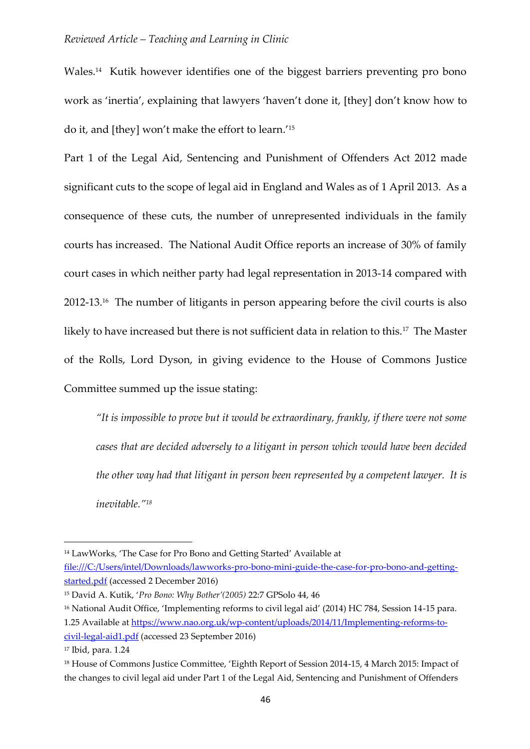Wales.<sup>14</sup> Kutik however identifies one of the biggest barriers preventing pro bono work as 'inertia', explaining that lawyers 'haven't done it, [they] don't know how to do it, and [they] won't make the effort to learn.' 15

Part 1 of the Legal Aid, Sentencing and Punishment of Offenders Act 2012 made significant cuts to the scope of legal aid in England and Wales as of 1 April 2013. As a consequence of these cuts, the number of unrepresented individuals in the family courts has increased. The National Audit Office reports an increase of 30% of family court cases in which neither party had legal representation in 2013-14 compared with 2012-13.<sup>16</sup> The number of litigants in person appearing before the civil courts is also likely to have increased but there is not sufficient data in relation to this.<sup>17</sup> The Master of the Rolls, Lord Dyson, in giving evidence to the House of Commons Justice Committee summed up the issue stating:

*"It is impossible to prove but it would be extraordinary, frankly, if there were not some cases that are decided adversely to a litigant in person which would have been decided the other way had that litigant in person been represented by a competent lawyer. It is inevitable."<sup>18</sup>*

<sup>14</sup> LawWorks, 'The Case for Pro Bono and Getting Started' Available at [file:///C:/Users/intel/Downloads/lawworks-pro-bono-mini-guide-the-case-for-pro-bono-and-getting](file:///C:/Users/intel/Downloads/lawworks-pro-bono-mini-guide-the-case-for-pro-bono-and-getting-started.pdf)[started.pdf](file:///C:/Users/intel/Downloads/lawworks-pro-bono-mini-guide-the-case-for-pro-bono-and-getting-started.pdf) (accessed 2 December 2016)

<sup>15</sup> David A. Kutik, '*Pro Bono: Why Bother'(2005)* 22:7 GPSolo 44, 46

<sup>&</sup>lt;sup>16</sup> National Audit Office, 'Implementing reforms to civil legal aid' (2014) HC 784, Session 14-15 para. 1.25 Available a[t https://www.nao.org.uk/wp-content/uploads/2014/11/Implementing-reforms-to](https://www.nao.org.uk/wp-content/uploads/2014/11/Implementing-reforms-to-civil-legal-aid1.pdf)[civil-legal-aid1.pdf](https://www.nao.org.uk/wp-content/uploads/2014/11/Implementing-reforms-to-civil-legal-aid1.pdf) (accessed 23 September 2016)

<sup>17</sup> Ibid, para. 1.24

<sup>&</sup>lt;sup>18</sup> House of Commons Justice Committee, 'Eighth Report of Session 2014-15, 4 March 2015: Impact of the changes to civil legal aid under Part 1 of the Legal Aid, Sentencing and Punishment of Offenders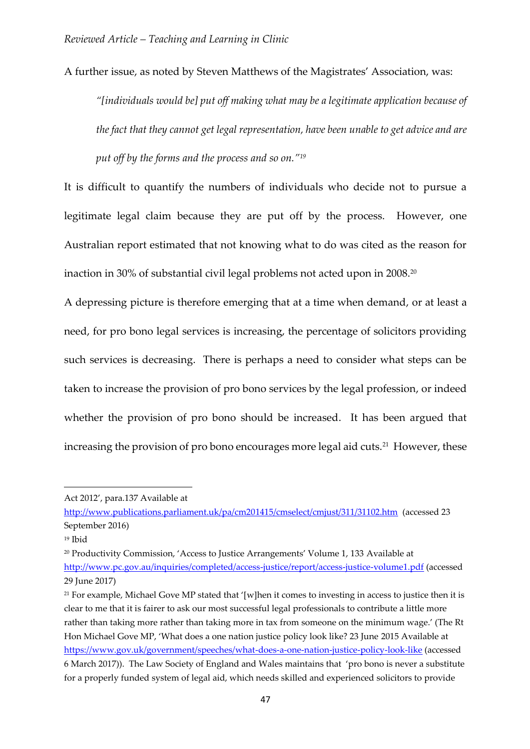A further issue, as noted by Steven Matthews of the Magistrates' Association, was:

*"[individuals would be] put off making what may be a legitimate application because of the fact that they cannot get legal representation, have been unable to get advice and are put off by the forms and the process and so on."<sup>19</sup>*

It is difficult to quantify the numbers of individuals who decide not to pursue a legitimate legal claim because they are put off by the process. However, one Australian report estimated that not knowing what to do was cited as the reason for inaction in 30% of substantial civil legal problems not acted upon in 2008.<sup>20</sup>

A depressing picture is therefore emerging that at a time when demand, or at least a need, for pro bono legal services is increasing, the percentage of solicitors providing such services is decreasing. There is perhaps a need to consider what steps can be taken to increase the provision of pro bono services by the legal profession, or indeed whether the provision of pro bono should be increased. It has been argued that increasing the provision of pro bono encourages more legal aid cuts.<sup>21</sup> However, these

1

Act 2012', para.137 Available at

<http://www.publications.parliament.uk/pa/cm201415/cmselect/cmjust/311/31102.htm>(accessed 23 September 2016)

<sup>19</sup> Ibid

<sup>20</sup> Productivity Commission, 'Access to Justice Arrangements' Volume 1, 133 Available at <http://www.pc.gov.au/inquiries/completed/access-justice/report/access-justice-volume1.pdf> (accessed 29 June 2017)

<sup>&</sup>lt;sup>21</sup> For example, Michael Gove MP stated that '[w]hen it comes to investing in access to justice then it is clear to me that it is fairer to ask our most successful legal professionals to contribute a little more rather than taking more rather than taking more in tax from someone on the minimum wage.' (The Rt Hon Michael Gove MP, 'What does a one nation justice policy look like? 23 June 2015 Available at <https://www.gov.uk/government/speeches/what-does-a-one-nation-justice-policy-look-like> (accessed 6 March 2017)). The Law Society of England and Wales maintains that 'pro bono is never a substitute for a properly funded system of legal aid, which needs skilled and experienced solicitors to provide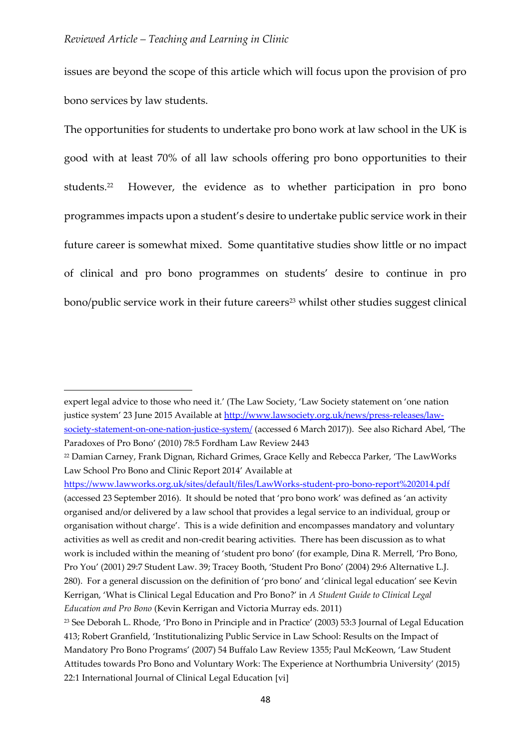$\overline{a}$ 

issues are beyond the scope of this article which will focus upon the provision of pro bono services by law students.

The opportunities for students to undertake pro bono work at law school in the UK is good with at least 70% of all law schools offering pro bono opportunities to their students.<sup>22</sup> However, the evidence as to whether participation in pro bono programmes impacts upon a student's desire to undertake public service work in their future career is somewhat mixed. Some quantitative studies show little or no impact of clinical and pro bono programmes on students' desire to continue in pro bono/public service work in their future careers<sup>23</sup> whilst other studies suggest clinical

expert legal advice to those who need it.' (The Law Society, 'Law Society statement on 'one nation justice system' 23 June 2015 Available at [http://www.lawsociety.org.uk/news/press-releases/law](http://www.lawsociety.org.uk/news/press-releases/law-society-statement-on-one-nation-justice-system/)[society-statement-on-one-nation-justice-system/](http://www.lawsociety.org.uk/news/press-releases/law-society-statement-on-one-nation-justice-system/) (accessed 6 March 2017)). See also Richard Abel, 'The Paradoxes of Pro Bono' (2010) 78:5 Fordham Law Review 2443

<sup>22</sup> Damian Carney, Frank Dignan, Richard Grimes, Grace Kelly and Rebecca Parker, 'The LawWorks Law School Pro Bono and Clinic Report 2014' Available at

<https://www.lawworks.org.uk/sites/default/files/LawWorks-student-pro-bono-report%202014.pdf> (accessed 23 September 2016). It should be noted that 'pro bono work' was defined as 'an activity organised and/or delivered by a law school that provides a legal service to an individual, group or organisation without charge'. This is a wide definition and encompasses mandatory and voluntary activities as well as credit and non-credit bearing activities. There has been discussion as to what work is included within the meaning of 'student pro bono' (for example, Dina R. Merrell, 'Pro Bono, Pro You' (2001) 29:7 Student Law. 39; Tracey Booth, 'Student Pro Bono' (2004) 29:6 Alternative L.J. 280). For a general discussion on the definition of 'pro bono' and 'clinical legal education' see Kevin Kerrigan, 'What is Clinical Legal Education and Pro Bono?' in *A Student Guide to Clinical Legal Education and Pro Bono* (Kevin Kerrigan and Victoria Murray eds. 2011)

<sup>23</sup> See Deborah L. Rhode, 'Pro Bono in Principle and in Practice' (2003) 53:3 Journal of Legal Education 413; Robert Granfield, 'Institutionalizing Public Service in Law School: Results on the Impact of Mandatory Pro Bono Programs' (2007) 54 Buffalo Law Review 1355; Paul McKeown, 'Law Student Attitudes towards Pro Bono and Voluntary Work: The Experience at Northumbria University' (2015) 22:1 International Journal of Clinical Legal Education [vi]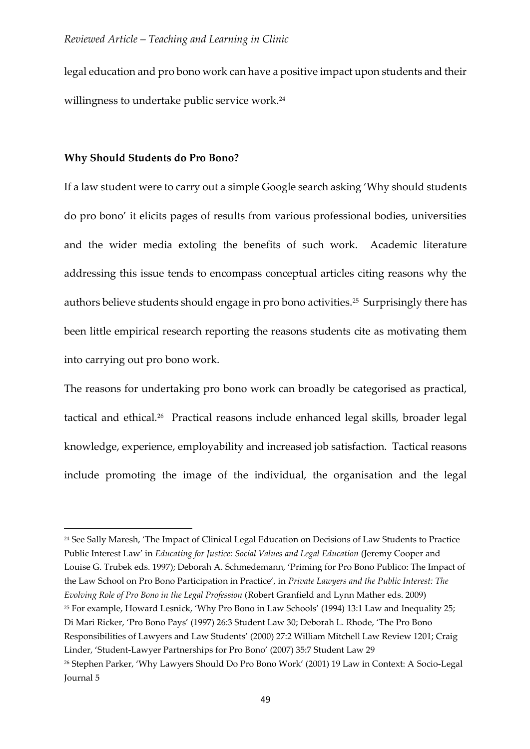legal education and pro bono work can have a positive impact upon students and their willingness to undertake public service work.<sup>24</sup>

# **Why Should Students do Pro Bono?**

 $\overline{a}$ 

If a law student were to carry out a simple Google search asking 'Why should students do pro bono' it elicits pages of results from various professional bodies, universities and the wider media extoling the benefits of such work. Academic literature addressing this issue tends to encompass conceptual articles citing reasons why the authors believe students should engage in pro bono activities.<sup>25</sup> Surprisingly there has been little empirical research reporting the reasons students cite as motivating them into carrying out pro bono work.

The reasons for undertaking pro bono work can broadly be categorised as practical, tactical and ethical.<sup>26</sup> Practical reasons include enhanced legal skills, broader legal knowledge, experience, employability and increased job satisfaction. Tactical reasons include promoting the image of the individual, the organisation and the legal

<sup>24</sup> See Sally Maresh, 'The Impact of Clinical Legal Education on Decisions of Law Students to Practice Public Interest Law' in *Educating for Justice: Social Values and Legal Education* (Jeremy Cooper and Louise G. Trubek eds. 1997); Deborah A. Schmedemann, 'Priming for Pro Bono Publico: The Impact of the Law School on Pro Bono Participation in Practice', in *Private Lawyers and the Public Interest: The Evolving Role of Pro Bono in the Legal Profession* (Robert Granfield and Lynn Mather eds. 2009) <sup>25</sup> For example, Howard Lesnick, 'Why Pro Bono in Law Schools' (1994) 13:1 Law and Inequality 25; Di Mari Ricker, 'Pro Bono Pays' (1997) 26:3 Student Law 30; Deborah L. Rhode, 'The Pro Bono Responsibilities of Lawyers and Law Students' (2000) 27:2 William Mitchell Law Review 1201; Craig Linder, 'Student-Lawyer Partnerships for Pro Bono' (2007) 35:7 Student Law 29 <sup>26</sup> Stephen Parker, 'Why Lawyers Should Do Pro Bono Work' (2001) 19 Law in Context: A Socio-Legal Journal 5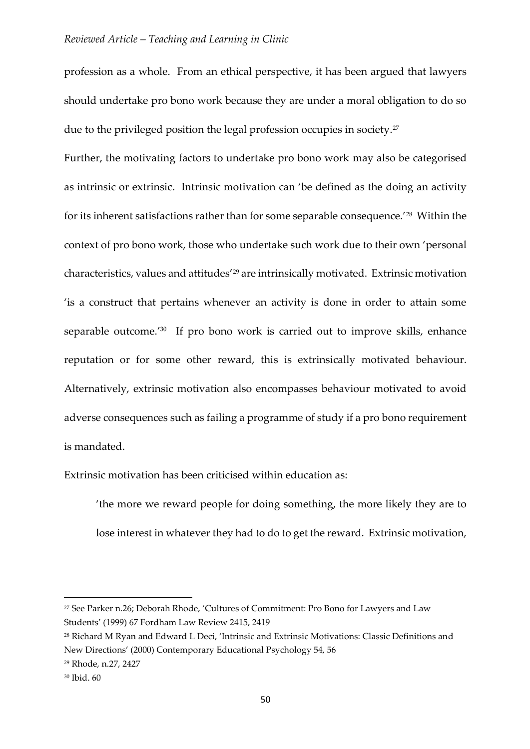profession as a whole. From an ethical perspective, it has been argued that lawyers should undertake pro bono work because they are under a moral obligation to do so due to the privileged position the legal profession occupies in society.<sup>27</sup>

Further, the motivating factors to undertake pro bono work may also be categorised as intrinsic or extrinsic. Intrinsic motivation can 'be defined as the doing an activity for its inherent satisfactions rather than for some separable consequence.'<sup>28</sup> Within the context of pro bono work, those who undertake such work due to their own 'personal characteristics, values and attitudes'<sup>29</sup> are intrinsically motivated. Extrinsic motivation 'is a construct that pertains whenever an activity is done in order to attain some separable outcome.'30 If pro bono work is carried out to improve skills, enhance reputation or for some other reward, this is extrinsically motivated behaviour. Alternatively, extrinsic motivation also encompasses behaviour motivated to avoid adverse consequences such as failing a programme of study if a pro bono requirement is mandated.

Extrinsic motivation has been criticised within education as:

'the more we reward people for doing something, the more likely they are to lose interest in whatever they had to do to get the reward. Extrinsic motivation,

1

<sup>27</sup> See Parker n.26; Deborah Rhode, 'Cultures of Commitment: Pro Bono for Lawyers and Law Students' (1999) 67 Fordham Law Review 2415, 2419

<sup>28</sup> Richard M Ryan and Edward L Deci, 'Intrinsic and Extrinsic Motivations: Classic Definitions and New Directions' (2000) Contemporary Educational Psychology 54, 56

<sup>29</sup> Rhode, n.27, 2427

<sup>30</sup> Ibid. 60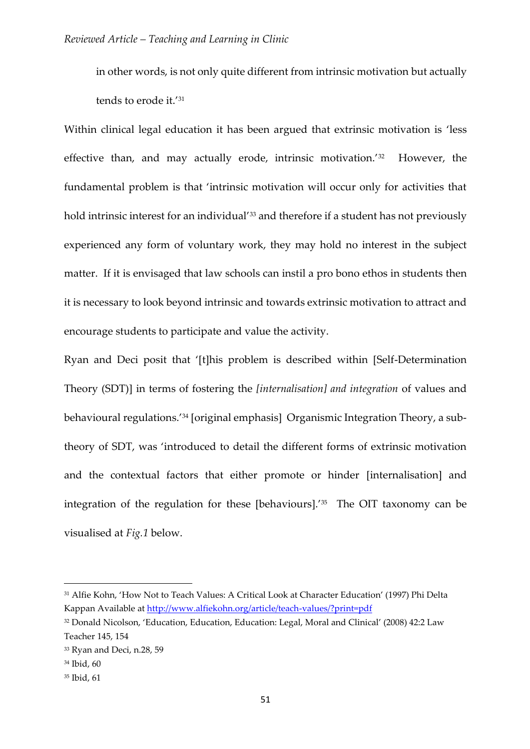in other words, is not only quite different from intrinsic motivation but actually tends to erode it.'<sup>31</sup>

Within clinical legal education it has been argued that extrinsic motivation is 'less effective than, and may actually erode, intrinsic motivation.'<sup>32</sup> However, the fundamental problem is that 'intrinsic motivation will occur only for activities that hold intrinsic interest for an individual<sup>'33</sup> and therefore if a student has not previously experienced any form of voluntary work, they may hold no interest in the subject matter. If it is envisaged that law schools can instil a pro bono ethos in students then it is necessary to look beyond intrinsic and towards extrinsic motivation to attract and encourage students to participate and value the activity.

Ryan and Deci posit that '[t]his problem is described within [Self-Determination Theory (SDT)] in terms of fostering the *[internalisation] and integration* of values and behavioural regulations.'<sup>34</sup> [original emphasis] Organismic Integration Theory, a subtheory of SDT, was 'introduced to detail the different forms of extrinsic motivation and the contextual factors that either promote or hinder [internalisation] and integration of the regulation for these [behaviours].'<sup>35</sup> The OIT taxonomy can be visualised at *Fig.1* below.

<sup>31</sup> Alfie Kohn, 'How Not to Teach Values: A Critical Look at Character Education' (1997) Phi Delta Kappan Available at<http://www.alfiekohn.org/article/teach-values/?print=pdf>

<sup>32</sup> Donald Nicolson, 'Education, Education, Education: Legal, Moral and Clinical' (2008) 42:2 Law Teacher 145, 154

<sup>&</sup>lt;sup>33</sup> Ryan and Deci, n.28, 59

<sup>34</sup> Ibid, 60

<sup>35</sup> Ibid, 61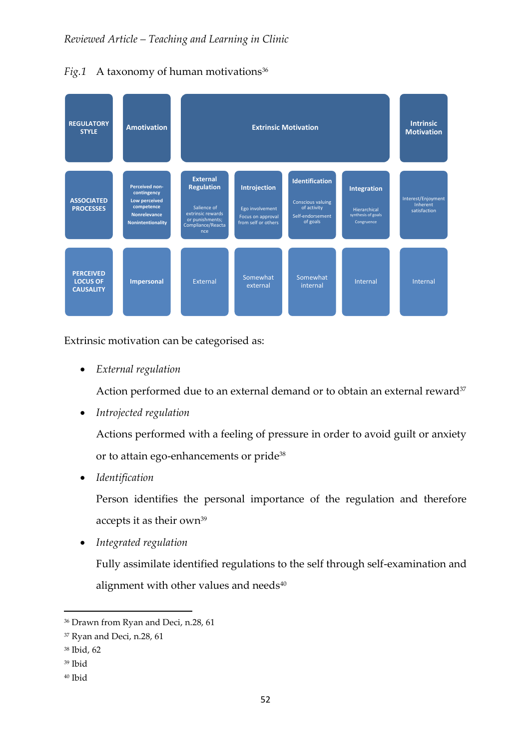*Fig.1* A taxonomy of human motivations<sup>36</sup>



Extrinsic motivation can be categorised as:

*External regulation*

Action performed due to an external demand or to obtain an external reward<sup>37</sup>

*Introjected regulation*

Actions performed with a feeling of pressure in order to avoid guilt or anxiety or to attain ego-enhancements or pride<sup>38</sup>

*Identification*

Person identifies the personal importance of the regulation and therefore accepts it as their own<sup>39</sup>

*Integrated regulation*

Fully assimilate identified regulations to the self through self-examination and alignment with other values and needs $40$ 

<sup>36</sup> Drawn from Ryan and Deci, n.28, 61

<sup>&</sup>lt;sup>37</sup> Ryan and Deci, n.28, 61

<sup>38</sup> Ibid, 62

<sup>39</sup> Ibid

<sup>40</sup> Ibid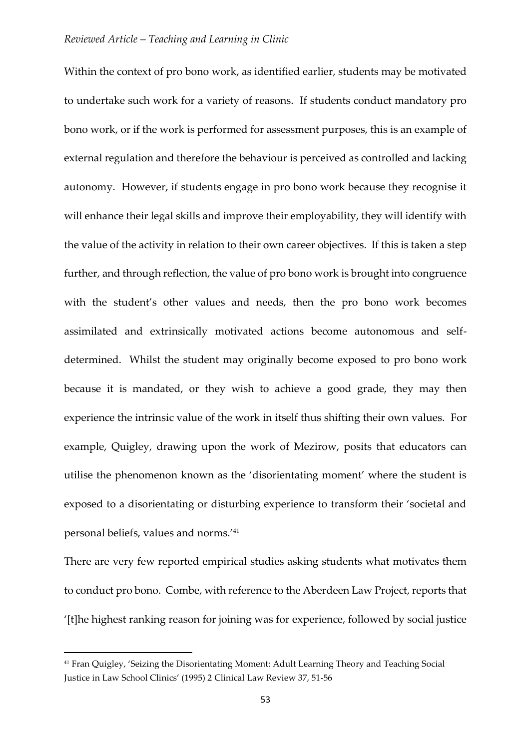Within the context of pro bono work, as identified earlier, students may be motivated to undertake such work for a variety of reasons. If students conduct mandatory pro bono work, or if the work is performed for assessment purposes, this is an example of external regulation and therefore the behaviour is perceived as controlled and lacking autonomy. However, if students engage in pro bono work because they recognise it will enhance their legal skills and improve their employability, they will identify with the value of the activity in relation to their own career objectives. If this is taken a step further, and through reflection, the value of pro bono work is brought into congruence with the student's other values and needs, then the pro bono work becomes assimilated and extrinsically motivated actions become autonomous and selfdetermined. Whilst the student may originally become exposed to pro bono work because it is mandated, or they wish to achieve a good grade, they may then experience the intrinsic value of the work in itself thus shifting their own values. For example, Quigley, drawing upon the work of Mezirow, posits that educators can utilise the phenomenon known as the 'disorientating moment' where the student is exposed to a disorientating or disturbing experience to transform their 'societal and personal beliefs, values and norms.'<sup>41</sup>

There are very few reported empirical studies asking students what motivates them to conduct pro bono. Combe, with reference to the Aberdeen Law Project, reports that '[t]he highest ranking reason for joining was for experience, followed by social justice

<sup>41</sup> Fran Quigley, 'Seizing the Disorientating Moment: Adult Learning Theory and Teaching Social Justice in Law School Clinics' (1995) 2 Clinical Law Review 37, 51-56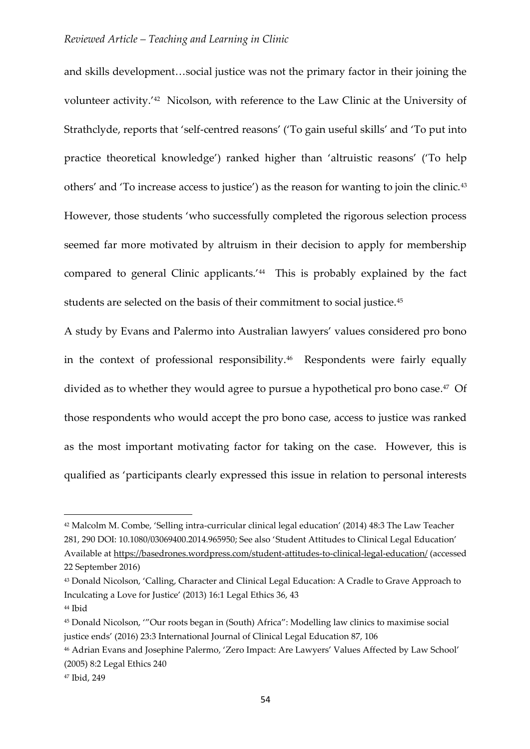and skills development…social justice was not the primary factor in their joining the volunteer activity.<sup>'42</sup> Nicolson, with reference to the Law Clinic at the University of Strathclyde, reports that 'self-centred reasons' ('To gain useful skills' and 'To put into practice theoretical knowledge') ranked higher than 'altruistic reasons' ('To help others' and 'To increase access to justice') as the reason for wanting to join the clinic.<sup>43</sup> However, those students 'who successfully completed the rigorous selection process seemed far more motivated by altruism in their decision to apply for membership compared to general Clinic applicants.'<sup>44</sup> This is probably explained by the fact students are selected on the basis of their commitment to social justice.<sup>45</sup>

A study by Evans and Palermo into Australian lawyers' values considered pro bono in the context of professional responsibility.<sup>46</sup> Respondents were fairly equally divided as to whether they would agree to pursue a hypothetical pro bono case. 47 Of those respondents who would accept the pro bono case, access to justice was ranked as the most important motivating factor for taking on the case. However, this is qualified as 'participants clearly expressed this issue in relation to personal interests

<sup>42</sup> Malcolm M. Combe, 'Selling intra-curricular clinical legal education' (2014) 48:3 The Law Teacher 281, 290 DOI: 10.1080/03069400.2014.965950; See also 'Student Attitudes to Clinical Legal Education' Available a[t https://basedrones.wordpress.com/student-attitudes-to-clinical-legal-education/](https://basedrones.wordpress.com/student-attitudes-to-clinical-legal-education/) (accessed 22 September 2016)

<sup>43</sup> Donald Nicolson, 'Calling, Character and Clinical Legal Education: A Cradle to Grave Approach to Inculcating a Love for Justice' (2013) 16:1 Legal Ethics 36, 43

<sup>44</sup> Ibid

<sup>45</sup> Donald Nicolson, '"Our roots began in (South) Africa": Modelling law clinics to maximise social justice ends' (2016) 23:3 International Journal of Clinical Legal Education 87, 106

<sup>46</sup> Adrian Evans and Josephine Palermo, 'Zero Impact: Are Lawyers' Values Affected by Law School' (2005) 8:2 Legal Ethics 240

<sup>47</sup> Ibid, 249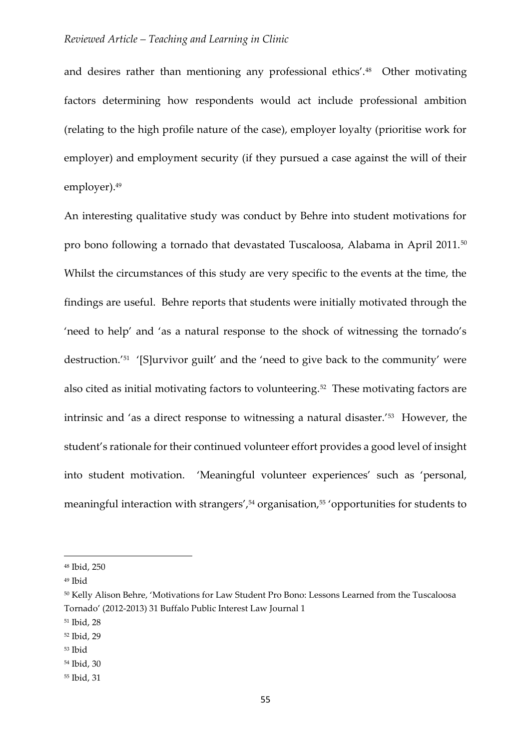and desires rather than mentioning any professional ethics'.<sup>48</sup> Other motivating factors determining how respondents would act include professional ambition (relating to the high profile nature of the case), employer loyalty (prioritise work for employer) and employment security (if they pursued a case against the will of their employer).<sup>49</sup>

An interesting qualitative study was conduct by Behre into student motivations for pro bono following a tornado that devastated Tuscaloosa, Alabama in April 2011.<sup>50</sup> Whilst the circumstances of this study are very specific to the events at the time, the findings are useful. Behre reports that students were initially motivated through the 'need to help' and 'as a natural response to the shock of witnessing the tornado's destruction.'<sup>51</sup> '[S]urvivor guilt' and the 'need to give back to the community' were also cited as initial motivating factors to volunteering.<sup>52</sup> These motivating factors are intrinsic and 'as a direct response to witnessing a natural disaster.'<sup>53</sup> However, the student's rationale for their continued volunteer effort provides a good level of insight into student motivation. 'Meaningful volunteer experiences' such as 'personal, meaningful interaction with strangers',<sup>54</sup> organisation,<sup>55</sup> 'opportunities for students to

<sup>48</sup> Ibid, 250

<sup>49</sup> Ibid

<sup>50</sup> Kelly Alison Behre, 'Motivations for Law Student Pro Bono: Lessons Learned from the Tuscaloosa Tornado' (2012-2013) 31 Buffalo Public Interest Law Journal 1

<sup>51</sup> Ibid, 28

<sup>52</sup> Ibid, 29

<sup>53</sup> Ibid

<sup>54</sup> Ibid, 30

<sup>55</sup> Ibid, 31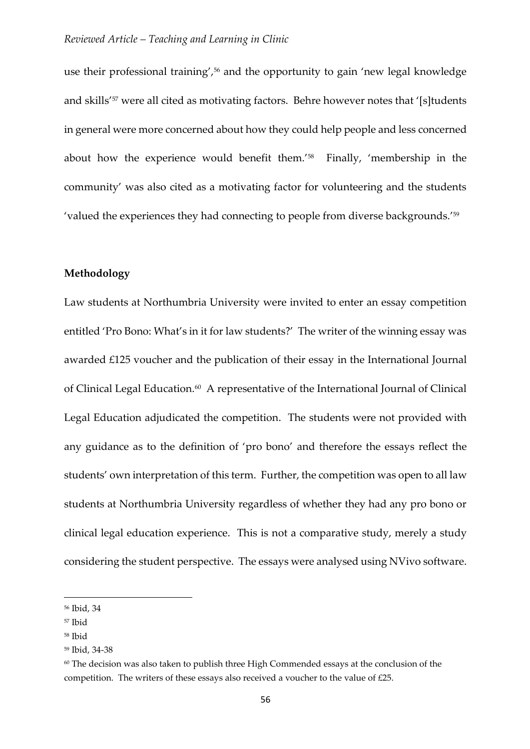use their professional training',<sup>56</sup> and the opportunity to gain 'new legal knowledge and skills'<sup>57</sup> were all cited as motivating factors. Behre however notes that '[s]tudents in general were more concerned about how they could help people and less concerned about how the experience would benefit them.'<sup>58</sup> Finally, 'membership in the community' was also cited as a motivating factor for volunteering and the students 'valued the experiences they had connecting to people from diverse backgrounds.'<sup>59</sup>

# **Methodology**

Law students at Northumbria University were invited to enter an essay competition entitled 'Pro Bono: What's in it for law students?' The writer of the winning essay was awarded £125 voucher and the publication of their essay in the International Journal of Clinical Legal Education.<sup>60</sup> A representative of the International Journal of Clinical Legal Education adjudicated the competition. The students were not provided with any guidance as to the definition of 'pro bono' and therefore the essays reflect the students' own interpretation of this term. Further, the competition was open to all law students at Northumbria University regardless of whether they had any pro bono or clinical legal education experience. This is not a comparative study, merely a study considering the student perspective. The essays were analysed using NVivo software.

1

<sup>56</sup> Ibid, 34

<sup>57</sup> Ibid

<sup>58</sup> Ibid

<sup>59</sup> Ibid, 34-38

 $60$  The decision was also taken to publish three High Commended essays at the conclusion of the competition. The writers of these essays also received a voucher to the value of £25.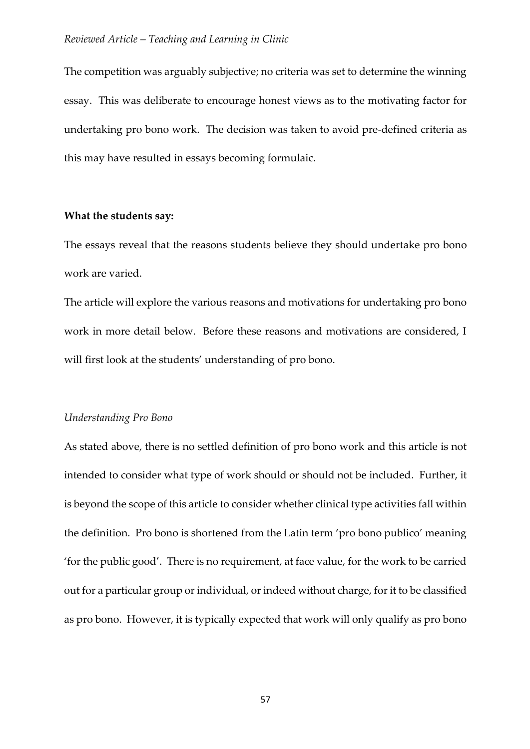The competition was arguably subjective; no criteria was set to determine the winning essay. This was deliberate to encourage honest views as to the motivating factor for undertaking pro bono work. The decision was taken to avoid pre-defined criteria as this may have resulted in essays becoming formulaic.

# **What the students say:**

The essays reveal that the reasons students believe they should undertake pro bono work are varied.

The article will explore the various reasons and motivations for undertaking pro bono work in more detail below. Before these reasons and motivations are considered, I will first look at the students' understanding of pro bono.

#### *Understanding Pro Bono*

As stated above, there is no settled definition of pro bono work and this article is not intended to consider what type of work should or should not be included. Further, it is beyond the scope of this article to consider whether clinical type activities fall within the definition. Pro bono is shortened from the Latin term 'pro bono publico' meaning 'for the public good'. There is no requirement, at face value, for the work to be carried out for a particular group or individual, or indeed without charge, for it to be classified as pro bono. However, it is typically expected that work will only qualify as pro bono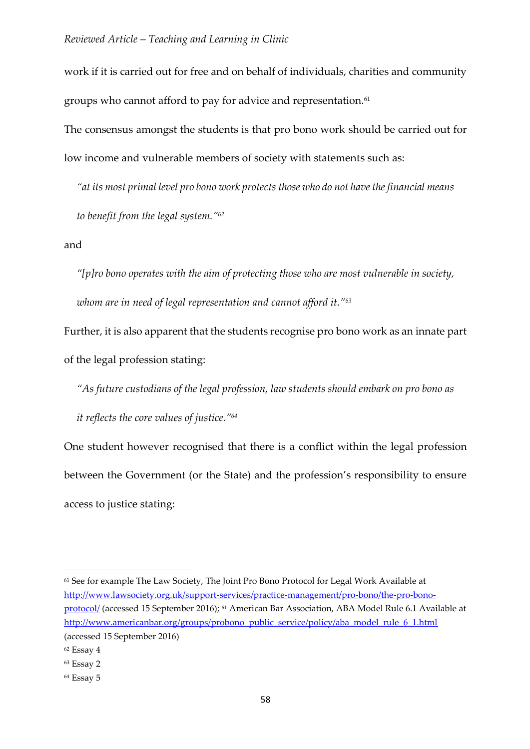work if it is carried out for free and on behalf of individuals, charities and community groups who cannot afford to pay for advice and representation. $^{61}$ 

The consensus amongst the students is that pro bono work should be carried out for low income and vulnerable members of society with statements such as:

*"at its most primal level pro bono work protects those who do not have the financial means to benefit from the legal system."<sup>62</sup>*

and

*"[p]ro bono operates with the aim of protecting those who are most vulnerable in society, whom are in need of legal representation and cannot afford it."<sup>63</sup>*

Further, it is also apparent that the students recognise pro bono work as an innate part of the legal profession stating:

*"As future custodians of the legal profession, law students should embark on pro bono as it reflects the core values of justice."<sup>64</sup>*

One student however recognised that there is a conflict within the legal profession between the Government (or the State) and the profession's responsibility to ensure access to justice stating:

<sup>61</sup> See for example The Law Society, The Joint Pro Bono Protocol for Legal Work Available at [http://www.lawsociety.org.uk/support-services/practice-management/pro-bono/the-pro-bono](http://www.lawsociety.org.uk/support-services/practice-management/pro-bono/the-pro-bono-protocol/)[protocol/](http://www.lawsociety.org.uk/support-services/practice-management/pro-bono/the-pro-bono-protocol/) (accessed 15 September 2016); <sup>61</sup> American Bar Association, ABA Model Rule 6.1 Available at [http://www.americanbar.org/groups/probono\\_public\\_service/policy/aba\\_model\\_rule\\_6\\_1.html](http://www.americanbar.org/groups/probono_public_service/policy/aba_model_rule_6_1.html) (accessed 15 September 2016)

<sup>62</sup> Essay 4

<sup>63</sup> Essay 2

<sup>64</sup> Essay 5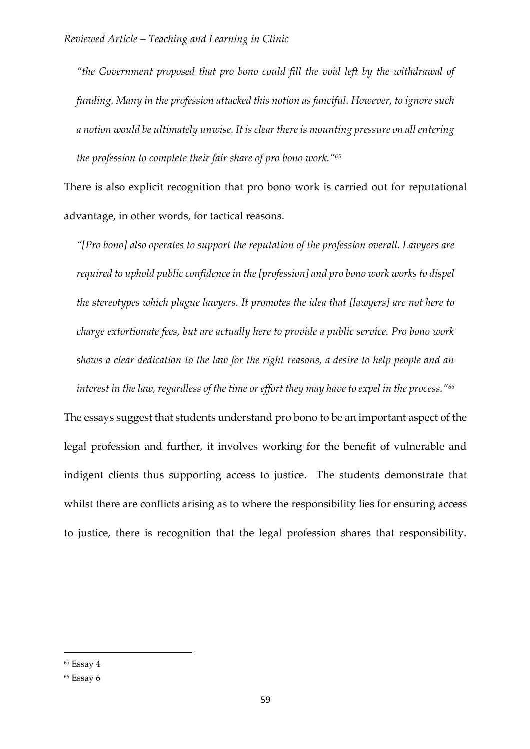*"the Government proposed that pro bono could fill the void left by the withdrawal of funding. Many in the profession attacked this notion as fanciful. However, to ignore such a notion would be ultimately unwise. It is clear there is mounting pressure on all entering the profession to complete their fair share of pro bono work."<sup>65</sup>*

There is also explicit recognition that pro bono work is carried out for reputational advantage, in other words, for tactical reasons.

*"[Pro bono] also operates to support the reputation of the profession overall. Lawyers are required to uphold public confidence in the [profession] and pro bono work works to dispel the stereotypes which plague lawyers. It promotes the idea that [lawyers] are not here to charge extortionate fees, but are actually here to provide a public service. Pro bono work shows a clear dedication to the law for the right reasons, a desire to help people and an interest in the law, regardless of the time or effort they may have to expel in the process."<sup>66</sup>*

The essays suggest that students understand pro bono to be an important aspect of the legal profession and further, it involves working for the benefit of vulnerable and indigent clients thus supporting access to justice. The students demonstrate that whilst there are conflicts arising as to where the responsibility lies for ensuring access to justice, there is recognition that the legal profession shares that responsibility.

<sup>65</sup> Essay 4

<sup>66</sup> Essay 6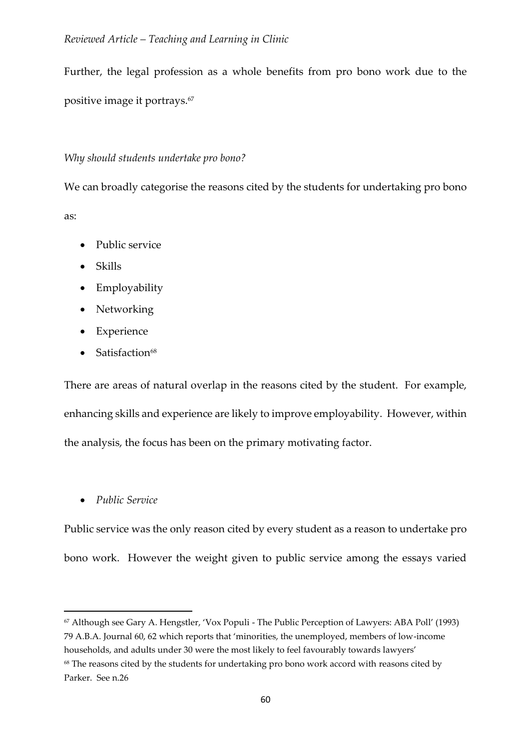Further, the legal profession as a whole benefits from pro bono work due to the positive image it portrays.<sup>67</sup>

# *Why should students undertake pro bono?*

We can broadly categorise the reasons cited by the students for undertaking pro bono as:

- Public service
- Skills
- Employability
- Networking
- Experience
- $\bullet$  Satisfaction<sup>68</sup>

There are areas of natural overlap in the reasons cited by the student. For example, enhancing skills and experience are likely to improve employability. However, within the analysis, the focus has been on the primary motivating factor.

*Public Service*

**.** 

Public service was the only reason cited by every student as a reason to undertake pro bono work. However the weight given to public service among the essays varied

<sup>67</sup> Although see Gary A. Hengstler, 'Vox Populi - The Public Perception of Lawyers: ABA Poll' (1993) 79 A.B.A. Journal 60, 62 which reports that 'minorities, the unemployed, members of low-income households, and adults under 30 were the most likely to feel favourably towards lawyers'

<sup>&</sup>lt;sup>68</sup> The reasons cited by the students for undertaking pro bono work accord with reasons cited by Parker. See n.26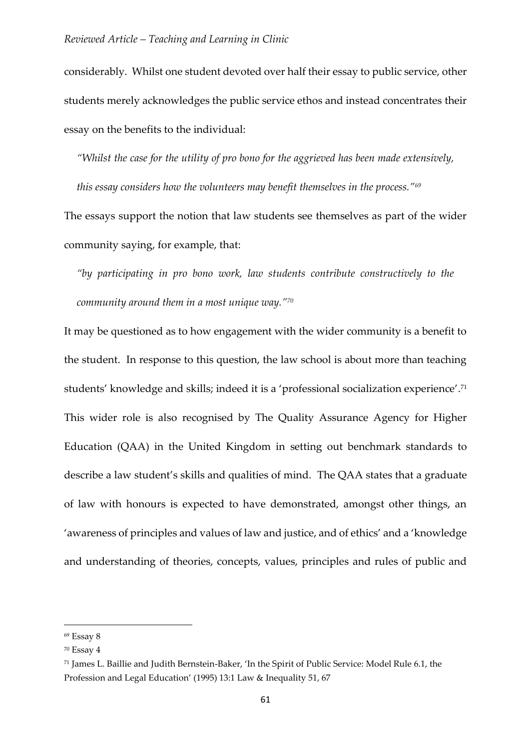considerably. Whilst one student devoted over half their essay to public service, other students merely acknowledges the public service ethos and instead concentrates their essay on the benefits to the individual:

*"Whilst the case for the utility of pro bono for the aggrieved has been made extensively,* 

*this essay considers how the volunteers may benefit themselves in the process."<sup>69</sup>* The essays support the notion that law students see themselves as part of the wider community saying, for example, that:

*"by participating in pro bono work, law students contribute constructively to the community around them in a most unique way."<sup>70</sup>*

It may be questioned as to how engagement with the wider community is a benefit to the student. In response to this question, the law school is about more than teaching students' knowledge and skills; indeed it is a 'professional socialization experience'. 71 This wider role is also recognised by The Quality Assurance Agency for Higher Education (QAA) in the United Kingdom in setting out benchmark standards to describe a law student's skills and qualities of mind. The QAA states that a graduate of law with honours is expected to have demonstrated, amongst other things, an 'awareness of principles and values of law and justice, and of ethics' and a 'knowledge and understanding of theories, concepts, values, principles and rules of public and

1

<sup>69</sup> Essay 8

<sup>70</sup> Essay 4

<sup>71</sup> James L. Baillie and Judith Bernstein-Baker, 'In the Spirit of Public Service: Model Rule 6.1, the Profession and Legal Education' (1995) 13:1 Law & Inequality 51, 67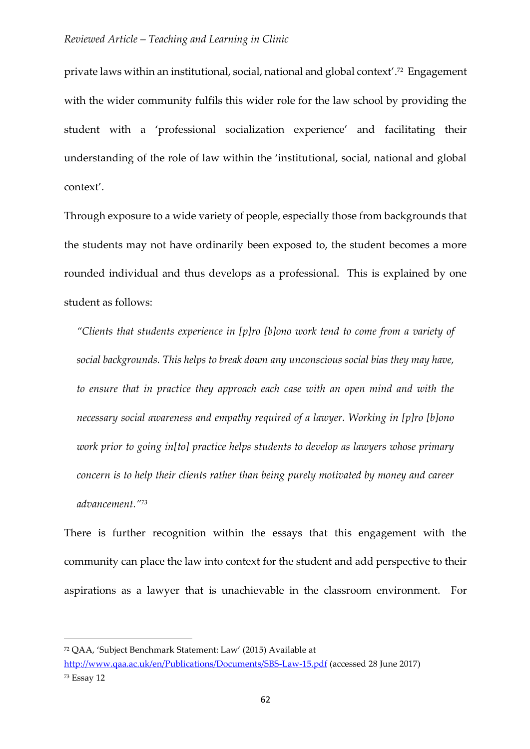private laws within an institutional, social, national and global context'. 72 Engagement with the wider community fulfils this wider role for the law school by providing the student with a 'professional socialization experience' and facilitating their understanding of the role of law within the 'institutional, social, national and global context'.

Through exposure to a wide variety of people, especially those from backgrounds that the students may not have ordinarily been exposed to, the student becomes a more rounded individual and thus develops as a professional. This is explained by one student as follows:

*"Clients that students experience in [p]ro [b]ono work tend to come from a variety of social backgrounds. This helps to break down any unconscious social bias they may have, to ensure that in practice they approach each case with an open mind and with the necessary social awareness and empathy required of a lawyer. Working in [p]ro [b]ono work prior to going in[to] practice helps students to develop as lawyers whose primary concern is to help their clients rather than being purely motivated by money and career advancement."<sup>73</sup>*

There is further recognition within the essays that this engagement with the community can place the law into context for the student and add perspective to their aspirations as a lawyer that is unachievable in the classroom environment. For

<sup>72</sup> QAA, 'Subject Benchmark Statement: Law' (2015) Available at

<http://www.qaa.ac.uk/en/Publications/Documents/SBS-Law-15.pdf> (accessed 28 June 2017) <sup>73</sup> Essay 12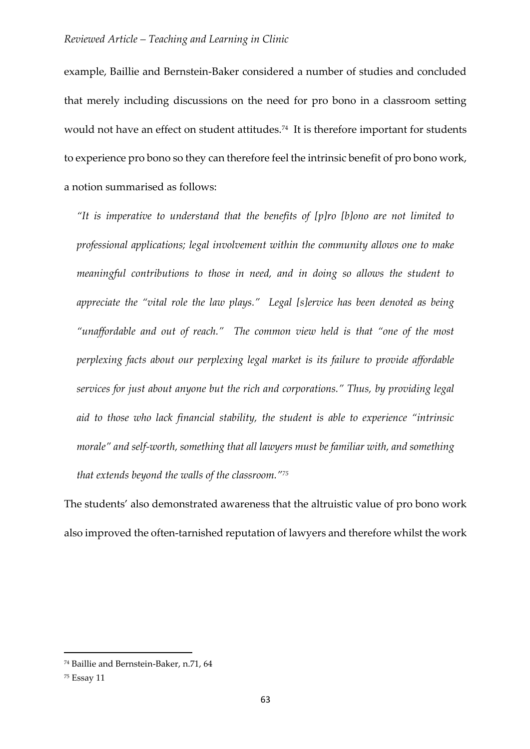example, Baillie and Bernstein-Baker considered a number of studies and concluded that merely including discussions on the need for pro bono in a classroom setting would not have an effect on student attitudes.<sup>74</sup> It is therefore important for students to experience pro bono so they can therefore feel the intrinsic benefit of pro bono work, a notion summarised as follows:

*"It is imperative to understand that the benefits of [p]ro [b]ono are not limited to professional applications; legal involvement within the community allows one to make meaningful contributions to those in need, and in doing so allows the student to appreciate the "vital role the law plays." Legal [s]ervice has been denoted as being "unaffordable and out of reach." The common view held is that "one of the most perplexing facts about our perplexing legal market is its failure to provide affordable services for just about anyone but the rich and corporations." Thus, by providing legal aid to those who lack financial stability, the student is able to experience "intrinsic morale" and self-worth, something that all lawyers must be familiar with, and something that extends beyond the walls of the classroom."<sup>75</sup>*

The students' also demonstrated awareness that the altruistic value of pro bono work also improved the often-tarnished reputation of lawyers and therefore whilst the work

<sup>74</sup> Baillie and Bernstein-Baker, n.71, 64

<sup>75</sup> Essay 11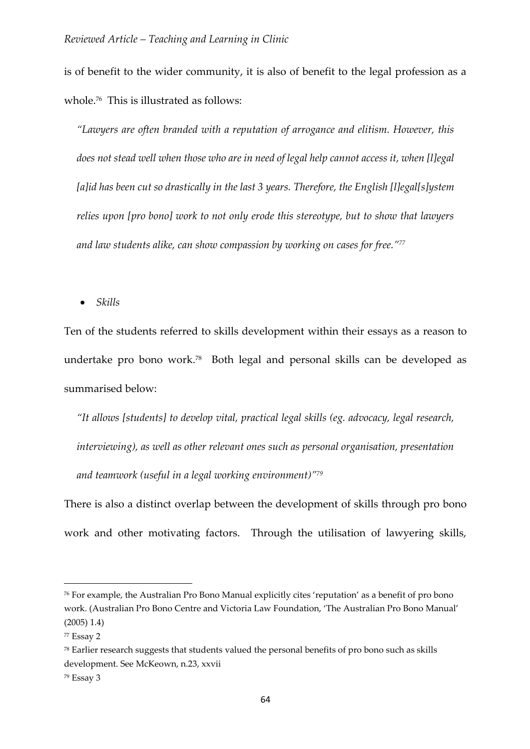is of benefit to the wider community, it is also of benefit to the legal profession as a whole.<sup>76</sup> This is illustrated as follows:

*"Lawyers are often branded with a reputation of arrogance and elitism. However, this does not stead well when those who are in need of legal help cannot access it, when [l]egal [a]id has been cut so drastically in the last 3 years. Therefore, the English [l]egal[s]ystem relies upon [pro bono] work to not only erode this stereotype, but to show that lawyers and law students alike, can show compassion by working on cases for free."<sup>77</sup>*

*Skills*

Ten of the students referred to skills development within their essays as a reason to undertake pro bono work.<sup>78</sup> Both legal and personal skills can be developed as summarised below:

*"It allows [students] to develop vital, practical legal skills (eg. advocacy, legal research, interviewing), as well as other relevant ones such as personal organisation, presentation and teamwork (useful in a legal working environment)"<sup>79</sup>*

There is also a distinct overlap between the development of skills through pro bono work and other motivating factors. Through the utilisation of lawyering skills,

<sup>76</sup> For example, the Australian Pro Bono Manual explicitly cites 'reputation' as a benefit of pro bono work. (Australian Pro Bono Centre and Victoria Law Foundation, 'The Australian Pro Bono Manual' (2005) 1.4)

<sup>77</sup> Essay 2

<sup>78</sup> Earlier research suggests that students valued the personal benefits of pro bono such as skills development. See McKeown, n.23, xxvii

<sup>79</sup> Essay 3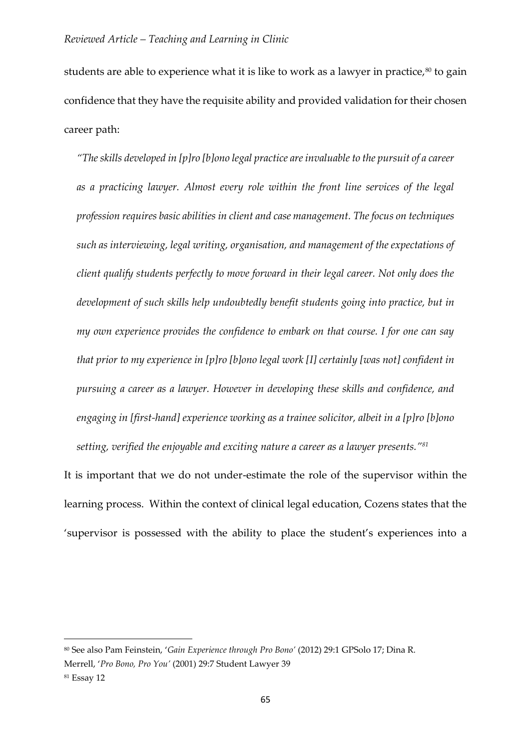students are able to experience what it is like to work as a lawyer in practice, $80$  to gain confidence that they have the requisite ability and provided validation for their chosen career path:

*"The skills developed in [p]ro [b]ono legal practice are invaluable to the pursuit of a career as a practicing lawyer. Almost every role within the front line services of the legal profession requires basic abilities in client and case management. The focus on techniques such as interviewing, legal writing, organisation, and management of the expectations of client qualify students perfectly to move forward in their legal career. Not only does the development of such skills help undoubtedly benefit students going into practice, but in my own experience provides the confidence to embark on that course. I for one can say that prior to my experience in [p]ro [b]ono legal work [I] certainly [was not] confident in pursuing a career as a lawyer. However in developing these skills and confidence, and engaging in [first-hand] experience working as a trainee solicitor, albeit in a [p]ro [b]ono setting, verified the enjoyable and exciting nature a career as a lawyer presents."<sup>81</sup>*

It is important that we do not under-estimate the role of the supervisor within the learning process. Within the context of clinical legal education, Cozens states that the 'supervisor is possessed with the ability to place the student's experiences into a

<sup>80</sup> See also Pam Feinstein, '*Gain Experience through Pro Bono'* (2012) 29:1 GPSolo 17; Dina R.

Merrell, '*Pro Bono, Pro You'* (2001) 29:7 Student Lawyer 39

<sup>81</sup> Essay 12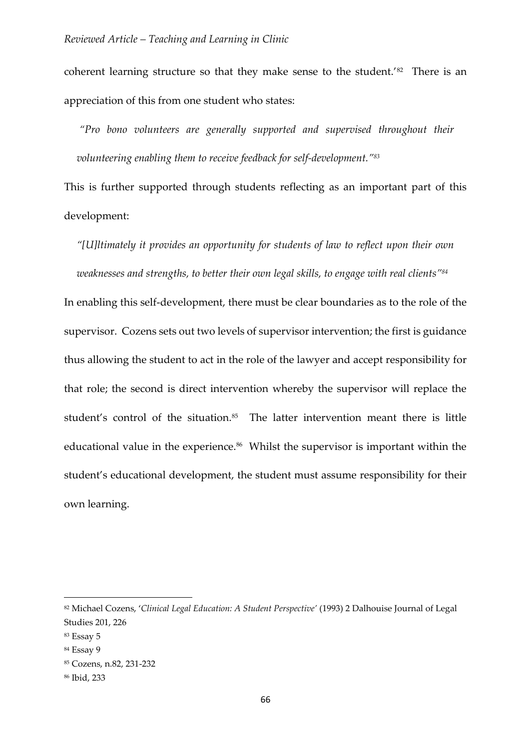coherent learning structure so that they make sense to the student.<sup>'82</sup> There is an appreciation of this from one student who states:

*"Pro bono volunteers are generally supported and supervised throughout their volunteering enabling them to receive feedback for self-development."<sup>83</sup>*

This is further supported through students reflecting as an important part of this development:

*"[U]ltimately it provides an opportunity for students of law to reflect upon their own weaknesses and strengths, to better their own legal skills, to engage with real clients"<sup>84</sup>*

In enabling this self-development, there must be clear boundaries as to the role of the supervisor. Cozens sets out two levels of supervisor intervention; the first is guidance thus allowing the student to act in the role of the lawyer and accept responsibility for that role; the second is direct intervention whereby the supervisor will replace the student's control of the situation.<sup>85</sup> The latter intervention meant there is little educational value in the experience.<sup>86</sup> Whilst the supervisor is important within the student's educational development, the student must assume responsibility for their own learning.

1

<sup>82</sup> Michael Cozens, '*Clinical Legal Education: A Student Perspective'* (1993) 2 Dalhouise Journal of Legal Studies 201, 226

<sup>83</sup> Essay 5

<sup>84</sup> Essay 9

<sup>85</sup> Cozens, n.82, 231-232

<sup>86</sup> Ibid, 233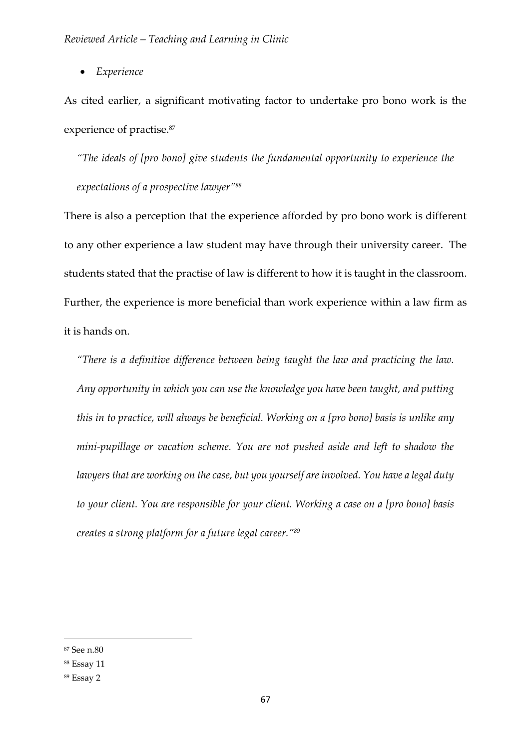*Experience*

As cited earlier, a significant motivating factor to undertake pro bono work is the experience of practise.<sup>87</sup>

*"The ideals of [pro bono] give students the fundamental opportunity to experience the expectations of a prospective lawyer"<sup>88</sup>*

There is also a perception that the experience afforded by pro bono work is different to any other experience a law student may have through their university career. The students stated that the practise of law is different to how it is taught in the classroom. Further, the experience is more beneficial than work experience within a law firm as it is hands on.

*"There is a definitive difference between being taught the law and practicing the law. Any opportunity in which you can use the knowledge you have been taught, and putting this in to practice, will always be beneficial. Working on a [pro bono] basis is unlike any mini-pupillage or vacation scheme. You are not pushed aside and left to shadow the lawyers that are working on the case, but you yourself are involved. You have a legal duty to your client. You are responsible for your client. Working a case on a [pro bono] basis creates a strong platform for a future legal career."<sup>89</sup>*

<sup>87</sup> See n.80

<sup>88</sup> Essay 11

<sup>89</sup> Essay 2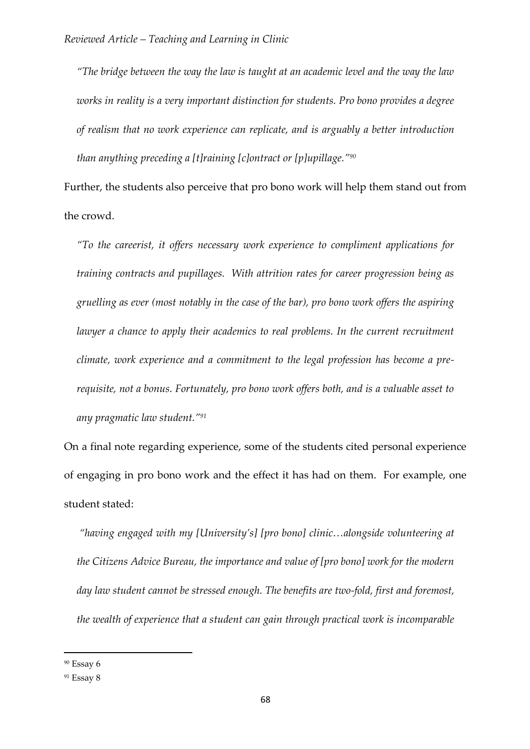*"The bridge between the way the law is taught at an academic level and the way the law works in reality is a very important distinction for students. Pro bono provides a degree of realism that no work experience can replicate, and is arguably a better introduction than anything preceding a [t]raining [c]ontract or [p]upillage."<sup>90</sup>*

Further, the students also perceive that pro bono work will help them stand out from the crowd.

*"To the careerist, it offers necessary work experience to compliment applications for training contracts and pupillages. With attrition rates for career progression being as gruelling as ever (most notably in the case of the bar), pro bono work offers the aspiring lawyer* a chance to apply their academics to real problems. In the current recruitment *climate, work experience and a commitment to the legal profession has become a prerequisite, not a bonus. Fortunately, pro bono work offers both, and is a valuable asset to any pragmatic law student."<sup>91</sup>*

On a final note regarding experience, some of the students cited personal experience of engaging in pro bono work and the effect it has had on them. For example, one student stated:

*"having engaged with my [University's] [pro bono] clinic…alongside volunteering at the Citizens Advice Bureau, the importance and value of [pro bono] work for the modern day law student cannot be stressed enough. The benefits are two-fold, first and foremost, the wealth of experience that a student can gain through practical work is incomparable* 

<sup>90</sup> Essay 6

<sup>91</sup> Essay 8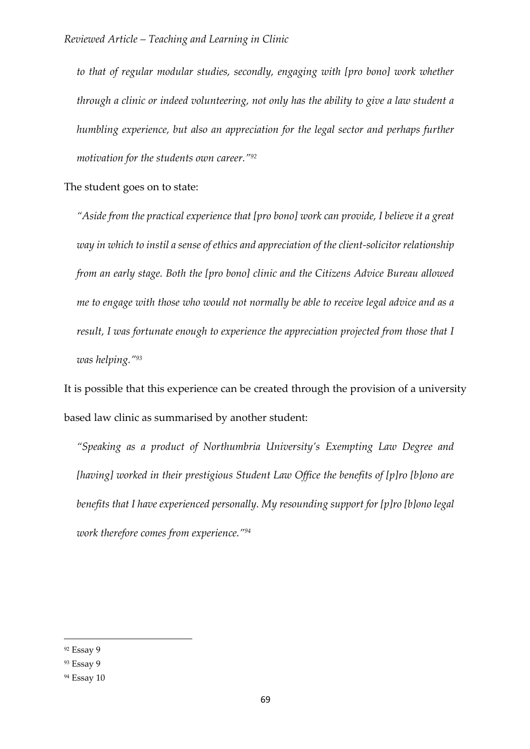*to that of regular modular studies, secondly, engaging with [pro bono] work whether through a clinic or indeed volunteering, not only has the ability to give a law student a humbling experience, but also an appreciation for the legal sector and perhaps further motivation for the students own career."<sup>92</sup>*

The student goes on to state:

*"Aside from the practical experience that [pro bono] work can provide, I believe it a great way in which to instil a sense of ethics and appreciation of the client-solicitor relationship from an early stage. Both the [pro bono] clinic and the Citizens Advice Bureau allowed me to engage with those who would not normally be able to receive legal advice and as a result, I was fortunate enough to experience the appreciation projected from those that I was helping."<sup>93</sup>*

It is possible that this experience can be created through the provision of a university based law clinic as summarised by another student:

*"Speaking as a product of Northumbria University's Exempting Law Degree and [having] worked in their prestigious Student Law Office the benefits of [p]ro [b]ono are benefits that I have experienced personally. My resounding support for [p]ro [b]ono legal work therefore comes from experience."<sup>94</sup>*

<sup>92</sup> Essay 9

<sup>93</sup> Essay 9

<sup>94</sup> Essay 10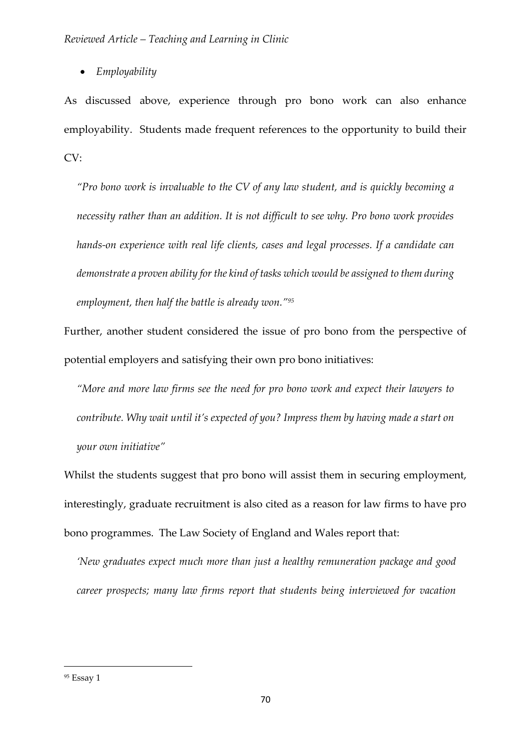*Employability*

As discussed above, experience through pro bono work can also enhance employability. Students made frequent references to the opportunity to build their CV:

*"Pro bono work is invaluable to the CV of any law student, and is quickly becoming a necessity rather than an addition. It is not difficult to see why. Pro bono work provides hands-on experience with real life clients, cases and legal processes. If a candidate can demonstrate a proven ability for the kind of tasks which would be assigned to them during employment, then half the battle is already won."<sup>95</sup>*

Further, another student considered the issue of pro bono from the perspective of potential employers and satisfying their own pro bono initiatives:

*"More and more law firms see the need for pro bono work and expect their lawyers to contribute. Why wait until it's expected of you? Impress them by having made a start on your own initiative"*

Whilst the students suggest that pro bono will assist them in securing employment, interestingly, graduate recruitment is also cited as a reason for law firms to have pro bono programmes. The Law Society of England and Wales report that:

*'New graduates expect much more than just a healthy remuneration package and good career prospects; many law firms report that students being interviewed for vacation* 

<sup>95</sup> Essay 1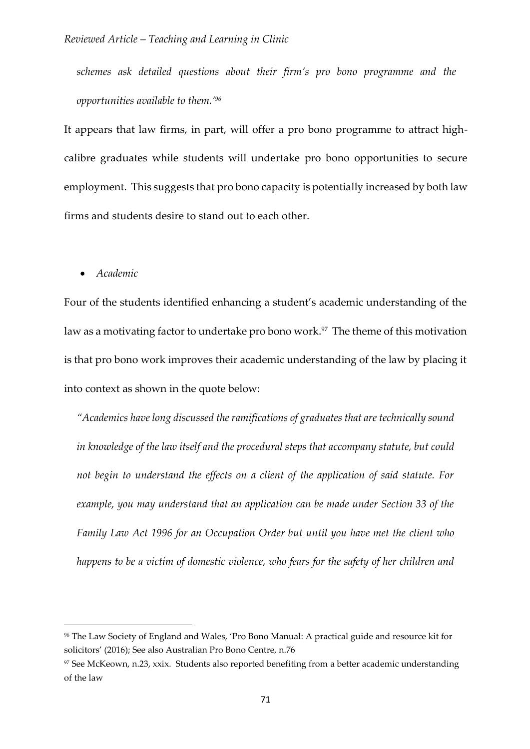*schemes ask detailed questions about their firm's pro bono programme and the opportunities available to them.'<sup>96</sup>*

It appears that law firms, in part, will offer a pro bono programme to attract highcalibre graduates while students will undertake pro bono opportunities to secure employment. This suggests that pro bono capacity is potentially increased by both law firms and students desire to stand out to each other.

*Academic*

1

Four of the students identified enhancing a student's academic understanding of the law as a motivating factor to undertake pro bono work.<sup>97</sup> The theme of this motivation is that pro bono work improves their academic understanding of the law by placing it into context as shown in the quote below:

*"Academics have long discussed the ramifications of graduates that are technically sound in knowledge of the law itself and the procedural steps that accompany statute, but could not begin to understand the effects on a client of the application of said statute. For example, you may understand that an application can be made under Section 33 of the Family Law Act 1996 for an Occupation Order but until you have met the client who happens to be a victim of domestic violence, who fears for the safety of her children and* 

<sup>96</sup> The Law Society of England and Wales, 'Pro Bono Manual: A practical guide and resource kit for solicitors' (2016); See also Australian Pro Bono Centre, n.76

<sup>97</sup> See McKeown, n.23, xxix. Students also reported benefiting from a better academic understanding of the law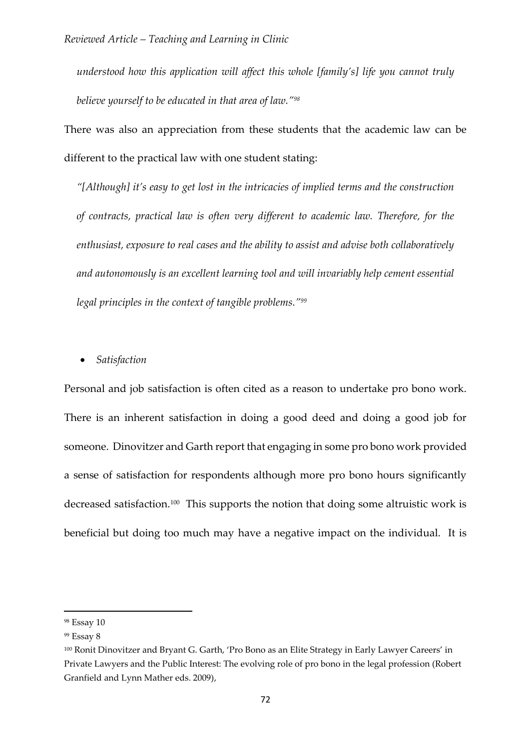*understood how this application will affect this whole [family's] life you cannot truly believe yourself to be educated in that area of law."<sup>98</sup>*

There was also an appreciation from these students that the academic law can be different to the practical law with one student stating:

*"[Although] it's easy to get lost in the intricacies of implied terms and the construction of contracts, practical law is often very different to academic law. Therefore, for the enthusiast, exposure to real cases and the ability to assist and advise both collaboratively and autonomously is an excellent learning tool and will invariably help cement essential legal principles in the context of tangible problems."<sup>99</sup>*

*Satisfaction*

Personal and job satisfaction is often cited as a reason to undertake pro bono work. There is an inherent satisfaction in doing a good deed and doing a good job for someone. Dinovitzer and Garth report that engaging in some pro bono work provided a sense of satisfaction for respondents although more pro bono hours significantly decreased satisfaction.<sup>100</sup> This supports the notion that doing some altruistic work is beneficial but doing too much may have a negative impact on the individual. It is

<sup>98</sup> Essay 10

<sup>99</sup> Essay 8

<sup>100</sup> Ronit Dinovitzer and Bryant G. Garth, 'Pro Bono as an Elite Strategy in Early Lawyer Careers' in Private Lawyers and the Public Interest: The evolving role of pro bono in the legal profession (Robert Granfield and Lynn Mather eds. 2009),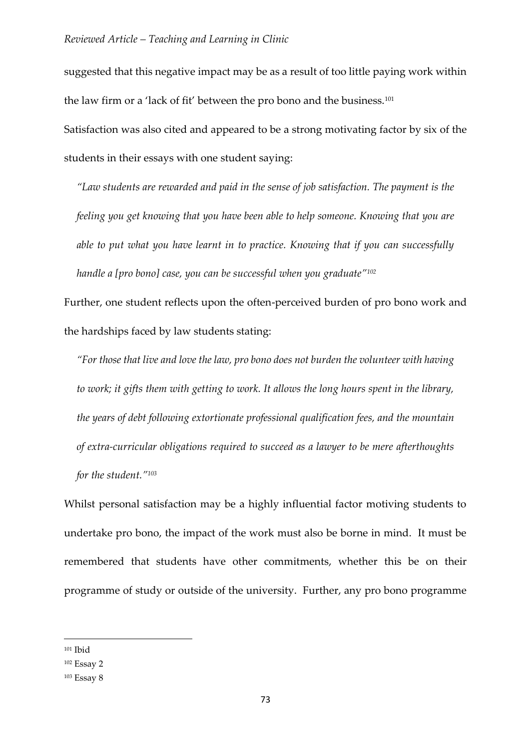suggested that this negative impact may be as a result of too little paying work within the law firm or a 'lack of fit' between the pro bono and the business.<sup>101</sup> Satisfaction was also cited and appeared to be a strong motivating factor by six of the

students in their essays with one student saying:

*"Law students are rewarded and paid in the sense of job satisfaction. The payment is the feeling you get knowing that you have been able to help someone. Knowing that you are able to put what you have learnt in to practice. Knowing that if you can successfully handle a [pro bono] case, you can be successful when you graduate"<sup>102</sup>*

Further, one student reflects upon the often-perceived burden of pro bono work and the hardships faced by law students stating:

*"For those that live and love the law, pro bono does not burden the volunteer with having to work; it gifts them with getting to work. It allows the long hours spent in the library, the years of debt following extortionate professional qualification fees, and the mountain of extra-curricular obligations required to succeed as a lawyer to be mere afterthoughts for the student."<sup>103</sup>*

Whilst personal satisfaction may be a highly influential factor motiving students to undertake pro bono, the impact of the work must also be borne in mind. It must be remembered that students have other commitments, whether this be on their programme of study or outside of the university. Further, any pro bono programme

<sup>101</sup> Ibid

<sup>102</sup> Essay 2

<sup>103</sup> Essay 8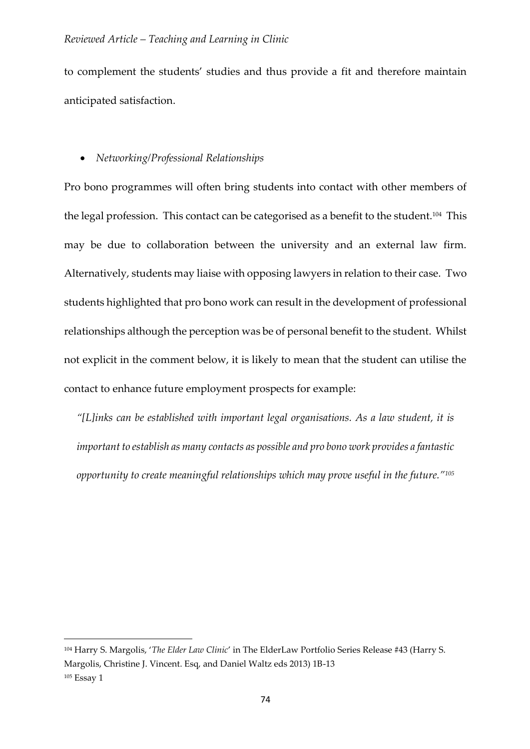to complement the students' studies and thus provide a fit and therefore maintain anticipated satisfaction.

# *Networking/Professional Relationships*

Pro bono programmes will often bring students into contact with other members of the legal profession. This contact can be categorised as a benefit to the student.<sup>104</sup> This may be due to collaboration between the university and an external law firm. Alternatively, students may liaise with opposing lawyers in relation to their case. Two students highlighted that pro bono work can result in the development of professional relationships although the perception was be of personal benefit to the student. Whilst not explicit in the comment below, it is likely to mean that the student can utilise the contact to enhance future employment prospects for example:

*"[L]inks can be established with important legal organisations. As a law student, it is important to establish as many contacts as possible and pro bono work provides a fantastic opportunity to create meaningful relationships which may prove useful in the future."<sup>105</sup>*

<sup>104</sup> Harry S. Margolis, '*The Elder Law Clinic*' in The ElderLaw Portfolio Series Release #43 (Harry S. Margolis, Christine J. Vincent. Esq, and Daniel Waltz eds 2013) 1B-13 <sup>105</sup> Essay 1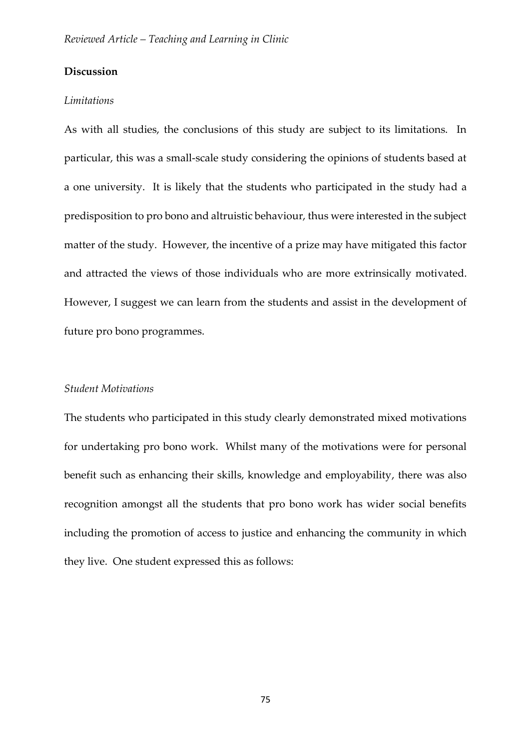# **Discussion**

#### *Limitations*

As with all studies, the conclusions of this study are subject to its limitations. In particular, this was a small-scale study considering the opinions of students based at a one university. It is likely that the students who participated in the study had a predisposition to pro bono and altruistic behaviour, thus were interested in the subject matter of the study. However, the incentive of a prize may have mitigated this factor and attracted the views of those individuals who are more extrinsically motivated. However, I suggest we can learn from the students and assist in the development of future pro bono programmes.

#### *Student Motivations*

The students who participated in this study clearly demonstrated mixed motivations for undertaking pro bono work. Whilst many of the motivations were for personal benefit such as enhancing their skills, knowledge and employability, there was also recognition amongst all the students that pro bono work has wider social benefits including the promotion of access to justice and enhancing the community in which they live. One student expressed this as follows: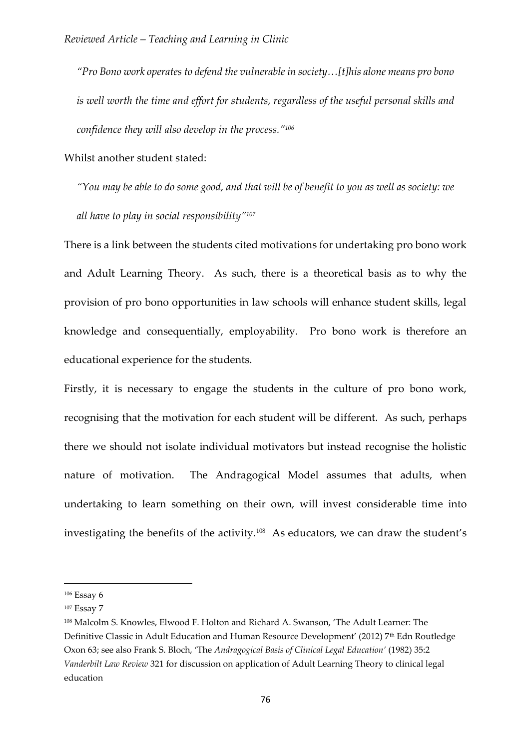*"Pro Bono work operates to defend the vulnerable in society…[t]his alone means pro bono is well worth the time and effort for students, regardless of the useful personal skills and confidence they will also develop in the process."<sup>106</sup>*

Whilst another student stated:

*"You may be able to do some good, and that will be of benefit to you as well as society: we all have to play in social responsibility"<sup>107</sup>*

There is a link between the students cited motivations for undertaking pro bono work and Adult Learning Theory. As such, there is a theoretical basis as to why the provision of pro bono opportunities in law schools will enhance student skills, legal knowledge and consequentially, employability. Pro bono work is therefore an educational experience for the students.

Firstly, it is necessary to engage the students in the culture of pro bono work, recognising that the motivation for each student will be different. As such, perhaps there we should not isolate individual motivators but instead recognise the holistic nature of motivation. The Andragogical Model assumes that adults, when undertaking to learn something on their own, will invest considerable time into investigating the benefits of the activity.<sup>108</sup> As educators, we can draw the student's

<sup>106</sup> Essay 6

<sup>&</sup>lt;sup>107</sup> Essay 7

<sup>108</sup> Malcolm S. Knowles, Elwood F. Holton and Richard A. Swanson, 'The Adult Learner: The Definitive Classic in Adult Education and Human Resource Development' (2012) 7<sup>th</sup> Edn Routledge Oxon 63; see also Frank S. Bloch, 'The *Andragogical Basis of Clinical Legal Education'* (1982) 35:2 *Vanderbilt Law Review* 321 for discussion on application of Adult Learning Theory to clinical legal education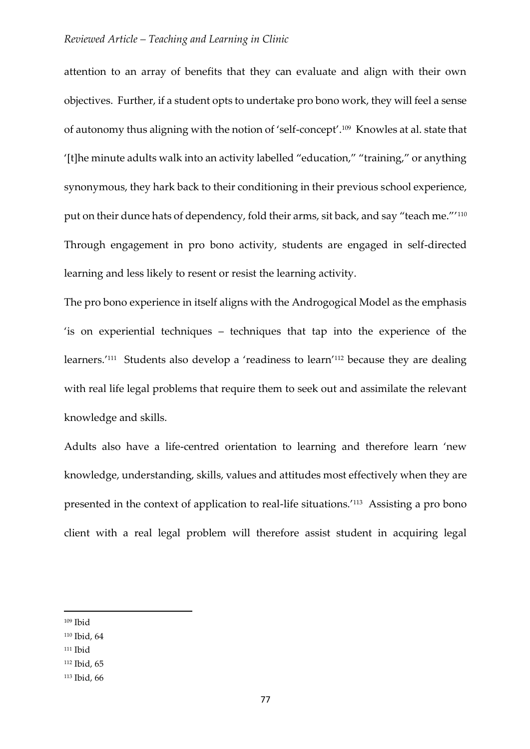attention to an array of benefits that they can evaluate and align with their own objectives. Further, if a student opts to undertake pro bono work, they will feel a sense of autonomy thus aligning with the notion of 'self-concept'.<sup>109</sup> Knowles at al. state that '[t]he minute adults walk into an activity labelled "education," "training," or anything synonymous, they hark back to their conditioning in their previous school experience, put on their dunce hats of dependency, fold their arms, sit back, and say "teach me."'<sup>110</sup> Through engagement in pro bono activity, students are engaged in self-directed learning and less likely to resent or resist the learning activity.

The pro bono experience in itself aligns with the Androgogical Model as the emphasis 'is on experiential techniques – techniques that tap into the experience of the learners.'<sup>111</sup> Students also develop a 'readiness to learn'<sup>112</sup> because they are dealing with real life legal problems that require them to seek out and assimilate the relevant knowledge and skills.

Adults also have a life-centred orientation to learning and therefore learn 'new knowledge, understanding, skills, values and attitudes most effectively when they are presented in the context of application to real-life situations.'<sup>113</sup> Assisting a pro bono client with a real legal problem will therefore assist student in acquiring legal

<sup>109</sup> Ibid

<sup>110</sup> Ibid, 64

<sup>111</sup> Ibid

<sup>112</sup> Ibid, 65

<sup>113</sup> Ibid, 66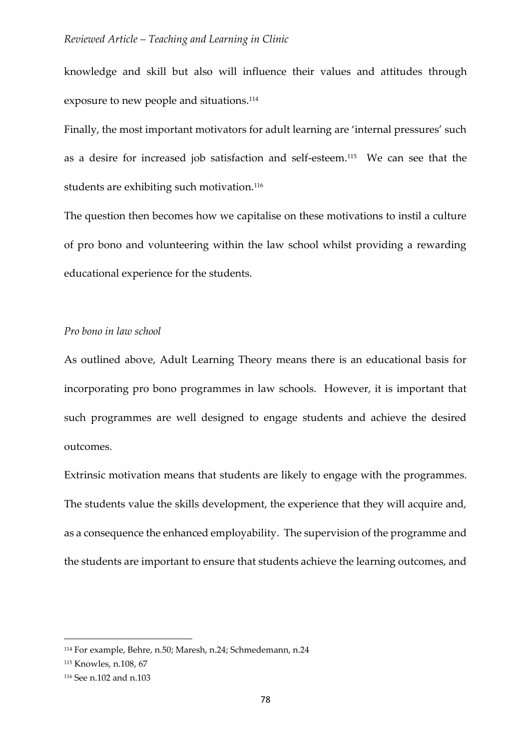knowledge and skill but also will influence their values and attitudes through exposure to new people and situations. 114

Finally, the most important motivators for adult learning are 'internal pressures' such as a desire for increased job satisfaction and self-esteem.<sup>115</sup> We can see that the students are exhibiting such motivation.<sup>116</sup>

The question then becomes how we capitalise on these motivations to instil a culture of pro bono and volunteering within the law school whilst providing a rewarding educational experience for the students.

# *Pro bono in law school*

As outlined above, Adult Learning Theory means there is an educational basis for incorporating pro bono programmes in law schools. However, it is important that such programmes are well designed to engage students and achieve the desired outcomes.

Extrinsic motivation means that students are likely to engage with the programmes. The students value the skills development, the experience that they will acquire and, as a consequence the enhanced employability. The supervision of the programme and the students are important to ensure that students achieve the learning outcomes, and

<sup>114</sup> For example, Behre, n.50; Maresh, n.24; Schmedemann, n.24

<sup>115</sup> Knowles, n.108, 67

<sup>116</sup> See n.102 and n.103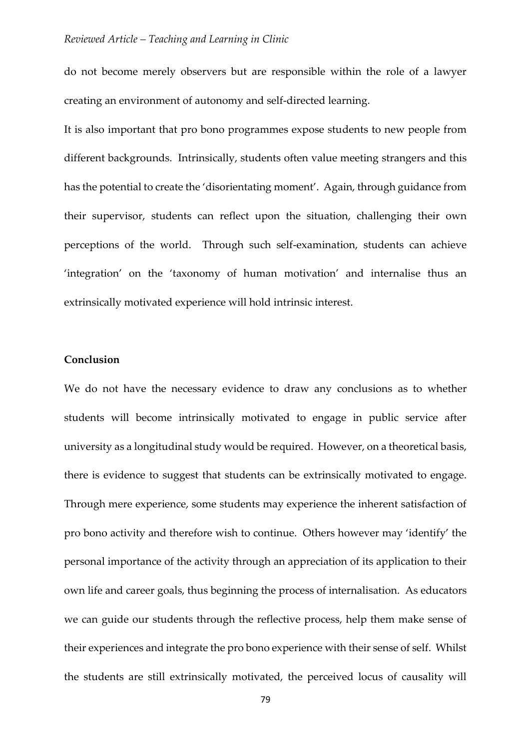do not become merely observers but are responsible within the role of a lawyer creating an environment of autonomy and self-directed learning.

It is also important that pro bono programmes expose students to new people from different backgrounds. Intrinsically, students often value meeting strangers and this has the potential to create the 'disorientating moment'. Again, through guidance from their supervisor, students can reflect upon the situation, challenging their own perceptions of the world. Through such self-examination, students can achieve 'integration' on the 'taxonomy of human motivation' and internalise thus an extrinsically motivated experience will hold intrinsic interest.

# **Conclusion**

We do not have the necessary evidence to draw any conclusions as to whether students will become intrinsically motivated to engage in public service after university as a longitudinal study would be required. However, on a theoretical basis, there is evidence to suggest that students can be extrinsically motivated to engage. Through mere experience, some students may experience the inherent satisfaction of pro bono activity and therefore wish to continue. Others however may 'identify' the personal importance of the activity through an appreciation of its application to their own life and career goals, thus beginning the process of internalisation. As educators we can guide our students through the reflective process, help them make sense of their experiences and integrate the pro bono experience with their sense of self. Whilst the students are still extrinsically motivated, the perceived locus of causality will